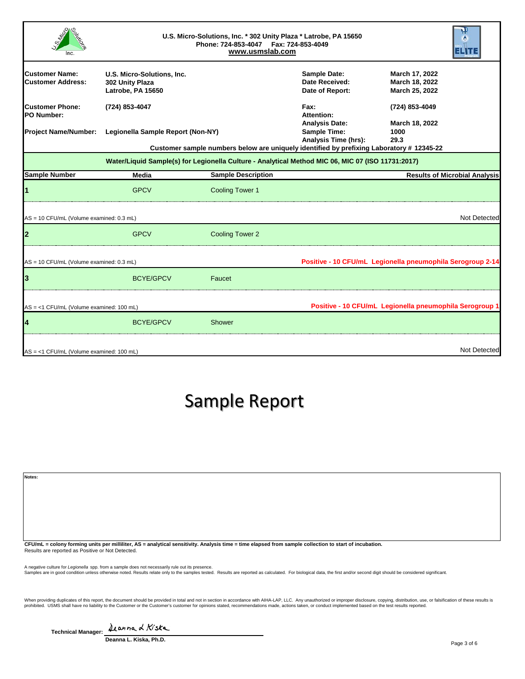|                                                   | U.S. Micro-Solutions, Inc. * 302 Unity Plaza * Latrobe, PA 15650<br>Phone: 724-853-4047    Fax: 724-853-4049<br>www.usmslab.com |                                                                                                   |                                                          |                                                         |                                      |
|---------------------------------------------------|---------------------------------------------------------------------------------------------------------------------------------|---------------------------------------------------------------------------------------------------|----------------------------------------------------------|---------------------------------------------------------|--------------------------------------|
| <b>Customer Name:</b><br><b>Customer Address:</b> | U.S. Micro-Solutions, Inc.<br>302 Unity Plaza<br>Latrobe, PA 15650                                                              |                                                                                                   | <b>Sample Date:</b><br>Date Received:<br>Date of Report: | March 17, 2022<br>March 18, 2022<br>March 25, 2022      |                                      |
| <b>Customer Phone:</b><br><b>PO Number:</b>       | (724) 853-4047                                                                                                                  |                                                                                                   | Fax:<br>Attention:<br><b>Analysis Date:</b>              | (724) 853-4049<br>March 18, 2022                        |                                      |
| <b>Project Name/Number:</b>                       | Legionella Sample Report (Non-NY)<br>Customer sample numbers below are uniquely identified by prefixing Laboratory # 12345-22   |                                                                                                   | <b>Sample Time:</b><br>Analysis Time (hrs):              | 1000<br>29.3                                            |                                      |
|                                                   |                                                                                                                                 | Water/Liquid Sample(s) for Legionella Culture - Analytical Method MIC 06, MIC 07 (ISO 11731:2017) |                                                          |                                                         |                                      |
| <b>Sample Number</b>                              | Media                                                                                                                           | <b>Sample Description</b>                                                                         |                                                          |                                                         | <b>Results of Microbial Analysis</b> |
|                                                   | <b>GPCV</b>                                                                                                                     | <b>Cooling Tower 1</b>                                                                            |                                                          |                                                         |                                      |
| AS = 10 CFU/mL (Volume examined: 0.3 mL)          |                                                                                                                                 |                                                                                                   |                                                          |                                                         | Not Detected                         |
| $\mathbf{2}$                                      | <b>GPCV</b>                                                                                                                     | <b>Cooling Tower 2</b>                                                                            |                                                          |                                                         |                                      |
| AS = 10 CFU/mL (Volume examined: 0.3 mL)          |                                                                                                                                 | Positive - 10 CFU/mL Legionella pneumophila Serogroup 2-14                                        |                                                          |                                                         |                                      |
| 3                                                 | <b>BCYE/GPCV</b>                                                                                                                | Faucet                                                                                            |                                                          |                                                         |                                      |
| AS = <1 CFU/mL (Volume examined: 100 mL)          |                                                                                                                                 |                                                                                                   |                                                          | Positive - 10 CFU/mL Legionella pneumophila Serogroup 1 |                                      |
| 4                                                 | <b>BCYE/GPCV</b>                                                                                                                | Shower                                                                                            |                                                          |                                                         |                                      |
| AS = <1 CFU/mL (Volume examined: 100 mL)          |                                                                                                                                 |                                                                                                   |                                                          |                                                         | Not Detected                         |

## Sample Report

| Notes:                                                                                                                                                     |  |
|------------------------------------------------------------------------------------------------------------------------------------------------------------|--|
|                                                                                                                                                            |  |
|                                                                                                                                                            |  |
|                                                                                                                                                            |  |
|                                                                                                                                                            |  |
| APULAL - Colombia and Constitution AA - contrated constitution Architect Have - Have closed Have considered to the Head of the development of the children |  |

**CFU/mL = colony forming units per milliliter, AS = analytical sensitivity. Analysis time = time elapsed from sample collection to start of incubation.<br>Results are reported as Positive or Not Detected.** 

A negative culture for *Legionell*a spp. from a sample does not necessarily rule out its presence.<br>Samples are in good condition unless otherwise noted. Results relate only to the samples tested. Results are reported as ca

When providing duplicates of this report, the document should be provided in total and not in section in accordance with AIHA-LAP, LLC. Any unauthorized or improper disclosure, copying, distribution, use, or falsification

| <b>Technical Manager:</b> | Deanna & Kiska |  |  |  |
|---------------------------|----------------|--|--|--|
|---------------------------|----------------|--|--|--|

**Deanna L. Kiska, Ph.D.**